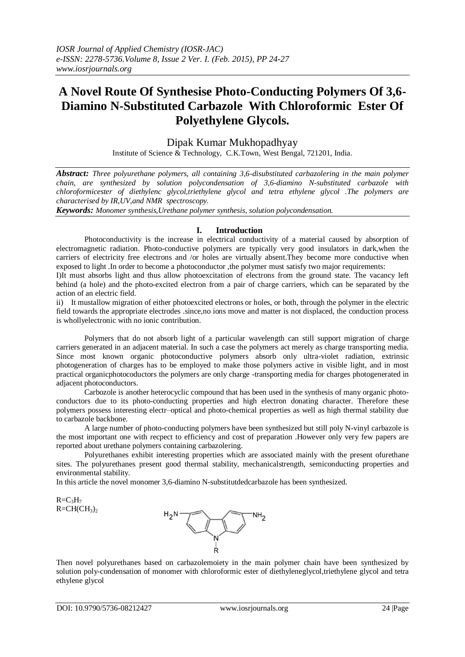# **A Novel Route Of Synthesise Photo-Conducting Polymers Of 3,6- Diamino N-Substituted Carbazole With Chloroformic Ester Of Polyethylene Glycols.**

Dipak Kumar Mukhopadhyay

Institute of Science & Technology, C.K.Town, West Bengal, 721201, India.

*Abstract: Three polyurethane polymers, all containing 3,6-disubstituted carbazolering in the main polymer chain, are synthesized by solution polycondensation of 3,6-diamino N-substituted carbazole with chloroformicester of diethylenc glycol,triethylene glycol and tetra ethylene glycol .The polymers are characterised by IR,UV,and NMR spectroscopy.*

*Keywords: Monomer synthesis,Urethane polymer synthesis, solution polycondensation.*

## **I. Introduction**

Photoconductivity is the increase in electrical conductivity of a material caused by absorption of electromagnetic radiation. Photo-conductive polymers are typically very good insulators in dark,when the carriers of electricity free electrons and /or holes are virtually absent.They become more conductive when exposed to light .In order to become a photoconductor ,the polymer must satisfy two major requirements:

I)It must absorbs light and thus allow photoexcitation of electrons from the ground state. The vacancy left behind (a hole) and the photo-excited electron from a pair of charge carriers, which can be separated by the action of an electric field.

ii) It mustallow migration of either photoexcited electrons or holes, or both, through the polymer in the electric field towards the appropriate electrodes .since,no ions move and matter is not displaced, the conduction process is whollyelectronic with no ionic contribution.

Polymers that do not absorb light of a particular wavelength can still support migration of charge carriers generated in an adjacent material. In such a case the polymers act merely as charge transporting media. Since most known organic photoconductive polymers absorb only ultra-violet radiation, extrinsic photogeneration of charges has to be employed to make those polymers active in visible light, and in most practical organicphotocoductors the polymers are only charge -transporting media for charges photogenerated in adjacent photoconductors.

Carbozole is another heterocyclic compound that has been used in the synthesis of many organic photoconductors due to its photo-conducting properties and high electron donating character. Therefore these polymers possess interesting electr–optical and photo-chemical properties as well as high thermal stability due to carbazole backbone.

A large number of photo-conducting polymers have been synthesized but still poly N-vinyl carbazole is the most important one with recpect to efficiency and cost of preparation .However only very few papers are reported about urethane polymers containing carbazolering.

Polyurethanes exhibit interesting properties which are associated mainly with the present ofurethane sites. The polyurethanes present good thermal stability, mechanicalstrength, semiconducting properties and environmental stability.

In this article the novel monomer 3,6-diamino N-substitutdedcarbazole has been synthesized.

 $R=C<sub>3</sub>H<sub>7</sub>$  $R=CH(CH_3)$ 



Then novel polyurethanes based on carbazolemoiety in the main polymer chain have been synthesized by solution poly-condensation of monomer with chloroformic ester of diethyleneglycol,triethylene glycol and tetra ethylene glycol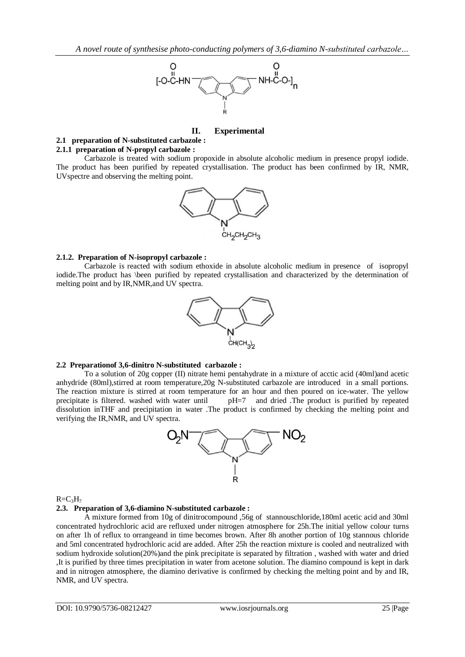

## **II. Experimental**

# **2.1 preparation of N-substituted carbazole :**

## **2.1.1 preparation of N-propyl carbazole :**

Carbazole is treated with sodium propoxide in absolute alcoholic medium in presence propyl iodide. The product has been purified by repeated crystallisation. The product has been confirmed by IR, NMR, UVspectre and observing the melting point.



### **2.1.2. Preparation of N-isopropyl carbazole :**

Carbazole is reacted with sodium ethoxide in absolute alcoholic medium in presence of isopropyl iodide.The product has \been purified by repeated crystallisation and characterized by the determination of melting point and by IR,NMR,and UV spectra.



## **2.2 Preparationof 3,6-dinitro N-substituted carbazole :**

To a solution of 20g copper (II) nitrate hemi pentahydrate in a mixture of acctic acid (40ml)and acetic anhydride (80ml),stirred at room temperature,20g N-substituted carbazole are introduced in a small portions. The reaction mixture is stirred at room temperature for an hour and then poured on ice-water. The yellow precipitate is filtered. washed with water until pH=7 and dried .The product is purified by repeated dissolution inTHF and precipitation in water .The product is confirmed by checking the melting point and verifying the IR,NMR, and UV spectra.



#### $R=C<sub>3</sub>H<sub>7</sub>$

# **2.3. Preparation of 3,6-diamino N-substituted carbazole :**

A mixture formed from 10g of dinitrocompound ,56g of stannouschloride,180ml acetic acid and 30ml concentrated hydrochloric acid are refluxed under nitrogen atmosphere for 25h.The initial yellow colour turns on after 1h of reflux to orrangeand in time becomes brown. After 8h another portion of 10g stannous chloride and 5ml concentrated hydrochloric acid are added. After 25h the reaction mixture is cooled and neutralized with sodium hydroxide solution(20%)and the pink precipitate is separated by filtration , washed with water and dried ,It is purified by three times precipitation in water from acetone solution. The diamino compound is kept in dark and in nitrogen atmosphere, the diamino derivative is confirmed by checking the melting point and by and IR, NMR, and UV spectra.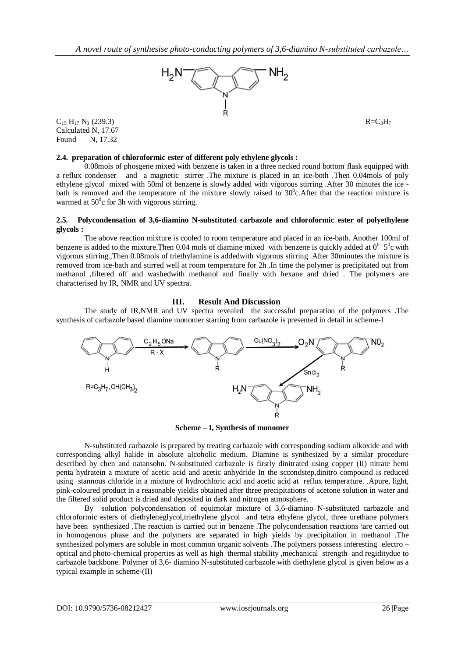

Calculated N, 17.67 Found N, 17.32

# **2.4. preparation of chloroformic ester of different poly ethylene glycols :**

0.08mols of phosgene mixed with benzene is taken in a three necked round bottom flask equipped with a reflux condenser and a magnetic stirrer .The mixture is placed in an ice-both .Then 0.04mols of poly ethylene glycol mixed with 50ml of benzene is slowly added with vigorous stirring .After 30 minutes the ice bath is removed and the temperature of the mixture slowly raised to  $30^{\circ}$ c. After that the reaction mixture is warmed at  $50^{\circ}$ c for 3h with vigorous stirring.

## **2.5. Polycondensation of 3,6-diamino N-substituted carbazole and chloroformic ester of polyethylene glycols :**

The above reaction mixture is cooled to room temperature and placed in an ice-bath. Another 100ml of benzene is added to the mixture. Then 0.04 mols of diamine mixed with benzene is quickly added at  $0^0$  5<sup>0</sup>c with vigorous stirring.,Then 0.08mols of triethylamine is addedwith vigorous stirring .After 30minutes the mixture is removed from ice-bath and stirred well at room temperature for 2h .In time the polymer is precipitated out from methanol ,filtered off and washedwith methanol and finally with hexane and dried . The polymers are characterised by IR, NMR and UV spectra.

# **III. Result And Discussion**

The study of IR,NMR and UV spectra revealed the successful preparation of the polymers .The synthesis of carbazole based diamine monomer starting from carbazole is presented in detail in scheme-I



**Scheme – I, Synthesis of monomer**

N-substituted carbazole is prepared by treating carbazole with corresponding sodium alkoxide and with corresponding alkyl halide in absolute alcoholic medium. Diamine is synthesized by a similar procedure described by chen and natansohn. N-substituted carbazole is firstly dinitrated using copper (II) nitrate hemi penta hydratein a mixture of acetic acid and acetic anhydride In the sccondstep,dinitro compound is reduced using stannous chloride in a mixture of hydrochloric acid and acetic acid at reflux temperature. .Apure, light, pink-coloured product in a reasonable yieldis obtained after three precipitations of acetone solution in water and the filtered solid product is dried and deposited in dark and nitrogen atmosphere.

By solution polycondensation of equimolar mixture of 3,6-diamino N-substituted carbazole and chloroformic esters of diethyleneglycol,triethylene glycol and tetra ethylene glycol, three urethane polymers have been synthesized .The reaction is carried out in benzene .The polycondensation reactions \are carried out in homogenous phase and the polymers are separated in high yields by precipitation in methanol .The synthesized polymers are soluble in most common organic solvents .The polymers possess interesting electro – optical and photo-chemical properties as well as high thermal stability ,mechanical strength and regiditydue to carbazole backbone. Polymer of 3,6- diamino N-substituted carbazole with diethylene glycol is given below as a typical example in scheme-(II)